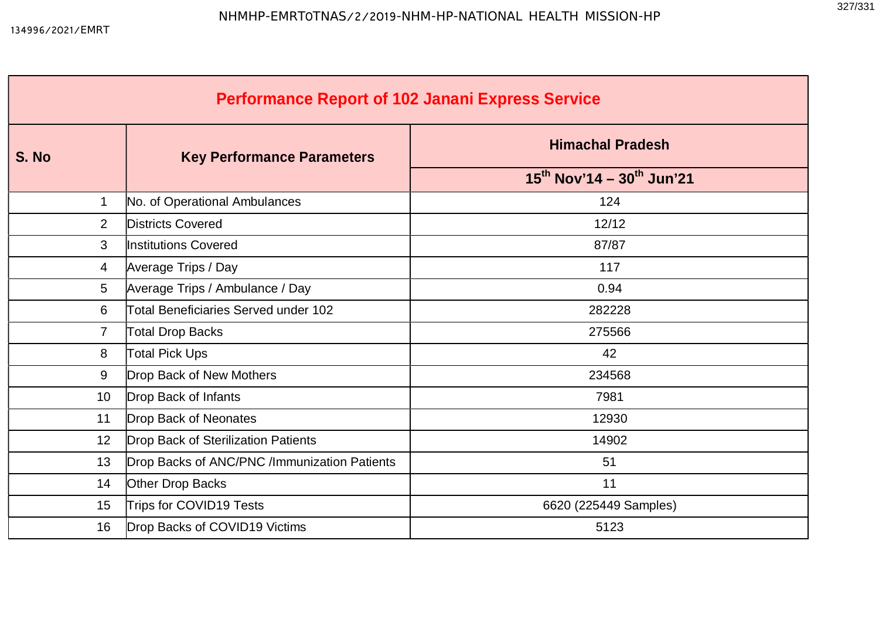| <b>Performance Report of 102 Janani Express Service</b> |                                              |                                            |  |  |  |  |  |  |  |  |
|---------------------------------------------------------|----------------------------------------------|--------------------------------------------|--|--|--|--|--|--|--|--|
| S. No                                                   | <b>Key Performance Parameters</b>            | <b>Himachal Pradesh</b>                    |  |  |  |  |  |  |  |  |
|                                                         |                                              | $15^{th}$ Nov'14 - 30 <sup>th</sup> Jun'21 |  |  |  |  |  |  |  |  |
| $\mathbf 1$                                             | No. of Operational Ambulances                | 124                                        |  |  |  |  |  |  |  |  |
| $\overline{2}$                                          | <b>Districts Covered</b>                     | 12/12                                      |  |  |  |  |  |  |  |  |
| 3                                                       | Institutions Covered                         | 87/87                                      |  |  |  |  |  |  |  |  |
| 4                                                       | Average Trips / Day                          | 117                                        |  |  |  |  |  |  |  |  |
| 5                                                       | Average Trips / Ambulance / Day              | 0.94                                       |  |  |  |  |  |  |  |  |
| 6                                                       | Total Beneficiaries Served under 102         | 282228                                     |  |  |  |  |  |  |  |  |
| $\overline{7}$                                          | <b>Total Drop Backs</b>                      | 275566                                     |  |  |  |  |  |  |  |  |
| 8                                                       | <b>Total Pick Ups</b>                        | 42                                         |  |  |  |  |  |  |  |  |
| 9                                                       | Drop Back of New Mothers                     | 234568                                     |  |  |  |  |  |  |  |  |
| 10                                                      | Drop Back of Infants                         | 7981                                       |  |  |  |  |  |  |  |  |
| 11                                                      | Drop Back of Neonates                        | 12930                                      |  |  |  |  |  |  |  |  |
| 12                                                      | Drop Back of Sterilization Patients          | 14902                                      |  |  |  |  |  |  |  |  |
| 13                                                      | Drop Backs of ANC/PNC /Immunization Patients | 51                                         |  |  |  |  |  |  |  |  |
| 14                                                      | Other Drop Backs                             | 11                                         |  |  |  |  |  |  |  |  |
| 15                                                      | Trips for COVID19 Tests                      | 6620 (225449 Samples)                      |  |  |  |  |  |  |  |  |
| 16                                                      | Drop Backs of COVID19 Victims                | 5123                                       |  |  |  |  |  |  |  |  |